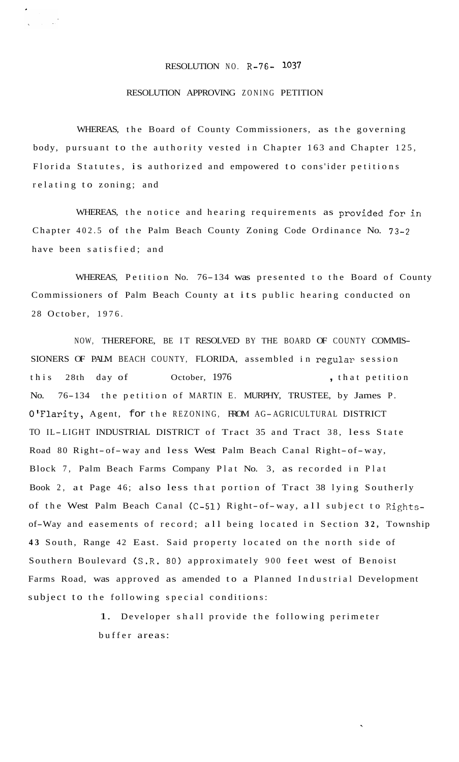## RESOLUTION NO. R-76- 1037

## RESOLUTION APPROVING ZONING PETITION

WHEREAS, the Board of County Commissioners, as the governing body, pursuant to the authority vested in Chapter 163 and Chapter 125, Florida Statutes, is authorized and empowered to cons'ider petitions relating to zoning; and

WHEREAS, the notice and hearing requirements as provided for in Chapter 402.5 of the Palm Beach County Zoning Code Ordinance No. 73-2 have been satisfied; and

WHEREAS, Petition No. 76-134 was presented to the Board of County Commissioners of Palm Beach County at its public hearing conducted on 28 October, 1976.

NOW, THEREFORE, BE IT RESOLVED BY THE BOARD OF COUNTY COMMIS-SIONERS OF PALM BEACH COUNTY, FLORIDA, assembled in regular session this 28th day of October, 1976 , that petition No. 76-134 the petition of MARTIN E. MURPHY, TRUSTEE, by James P. O'Flarity, Agent, for the REZONING, ROM AG-AGRICULTURAL DISTRICT TO IL-LIGHT INDUSTRIAL DISTRICT of Tract 35 and Tract 38, less State Road 80 Right- of-way and less West Palm Beach Canal Right- of-way, Block 7, Palm Beach Farms Company Plat No. 3, as recorded in Plat Book 2, at Page 46; also less that portion of Tract 38 lying Southerly of the West Palm Beach Canal (C-51) Right- of- way, all subject to Rightsof-Way and easements of record; all being located in Section **32,** Township **43** South, Range 42 East. Said property located on the north side of Southern Boulevard (S.R. 80) approximately 900 feet west of Benoist Farms Road, was approved as amended to a Planned Industrial Development subject to the following special conditions:

> 1. Developer shall provide the following perimeter buffer areas: